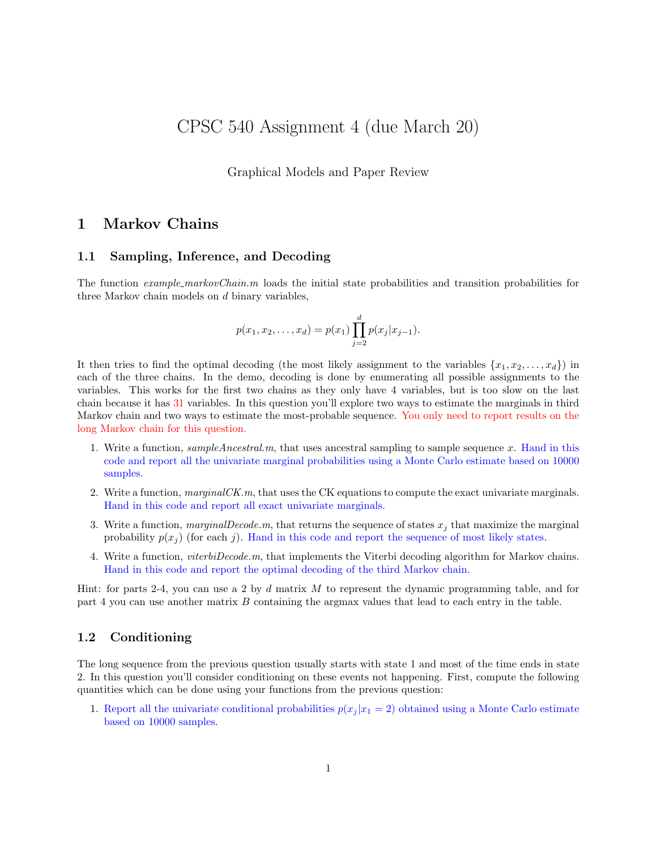# CPSC 540 Assignment 4 (due March 20)

Graphical Models and Paper Review

## 1 Markov Chains

## 1.1 Sampling, Inference, and Decoding

The function example markovChain.m loads the initial state probabilities and transition probabilities for three Markov chain models on d binary variables,

$$
p(x_1, x_2,..., x_d) = p(x_1) \prod_{j=2}^d p(x_j | x_{j-1}).
$$

It then tries to find the optimal decoding (the most likely assignment to the variables  $\{x_1, x_2, \ldots, x_d\}$ ) in each of the three chains. In the demo, decoding is done by enumerating all possible assignments to the variables. This works for the first two chains as they only have 4 variables, but is too slow on the last chain because it has 31 variables. In this question you'll explore two ways to estimate the marginals in third Markov chain and two ways to estimate the most-probable sequence. You only need to report results on the long Markov chain for this question.

- 1. Write a function,  $sampleAncsstral.m$ , that uses ancestral sampling to sample sequence x. Hand in this code and report all the univariate marginal probabilities using a Monte Carlo estimate based on 10000 samples.
- 2. Write a function,  $marginalCK.m$ , that uses the CK equations to compute the exact univariate marginals. Hand in this code and report all exact univariate marginals.
- 3. Write a function, marginal Decode.m, that returns the sequence of states  $x_j$  that maximize the marginal probability  $p(x_i)$  (for each j). Hand in this code and report the sequence of most likely states.
- 4. Write a function, viterbiDecode.m, that implements the Viterbi decoding algorithm for Markov chains. Hand in this code and report the optimal decoding of the third Markov chain.

Hint: for parts 2-4, you can use a 2 by  $d$  matrix  $M$  to represent the dynamic programming table, and for part 4 you can use another matrix B containing the argmax values that lead to each entry in the table.

### 1.2 Conditioning

The long sequence from the previous question usually starts with state 1 and most of the time ends in state 2. In this question you'll consider conditioning on these events not happening. First, compute the following quantities which can be done using your functions from the previous question:

1. Report all the univariate conditional probabilities  $p(x_j | x_1 = 2)$  obtained using a Monte Carlo estimate based on 10000 samples.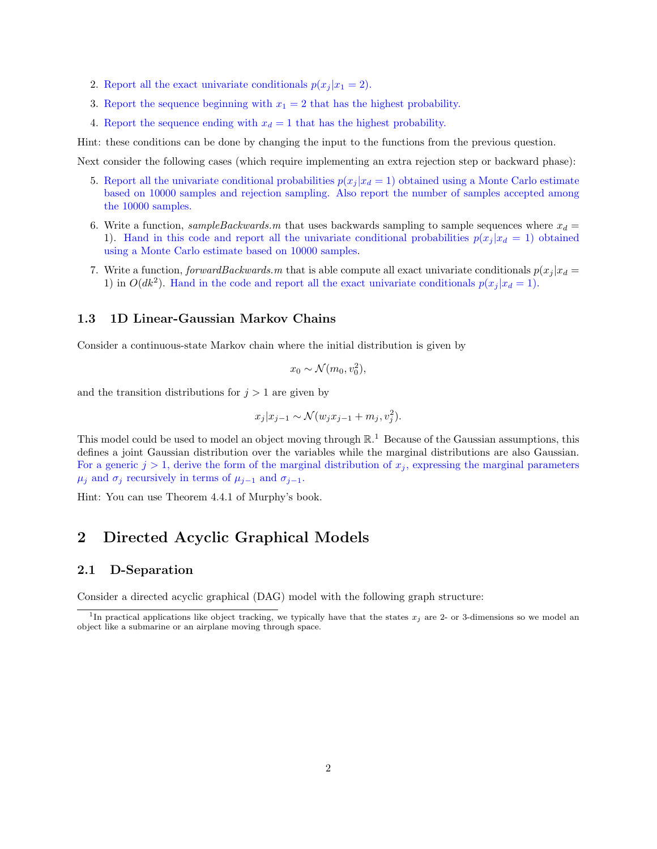- 2. Report all the exact univariate conditionals  $p(x_i | x_1 = 2)$ .
- 3. Report the sequence beginning with  $x_1 = 2$  that has the highest probability.
- 4. Report the sequence ending with  $x_d = 1$  that has the highest probability.

Hint: these conditions can be done by changing the input to the functions from the previous question.

Next consider the following cases (which require implementing an extra rejection step or backward phase):

- 5. Report all the univariate conditional probabilities  $p(x_j | x_d = 1)$  obtained using a Monte Carlo estimate based on 10000 samples and rejection sampling. Also report the number of samples accepted among the 10000 samples.
- 6. Write a function, sampleBackwards.m that uses backwards sampling to sample sequences where  $x_d =$ 1). Hand in this code and report all the univariate conditional probabilities  $p(x_j | x_d = 1)$  obtained using a Monte Carlo estimate based on 10000 samples.
- 7. Write a function, forwardBackwards.m that is able compute all exact univariate conditionals  $p(x_j | x_d =$ 1) in  $O(dk^2)$ . Hand in the code and report all the exact univariate conditionals  $p(x_j | x_d = 1)$ .

#### 1.3 1D Linear-Gaussian Markov Chains

Consider a continuous-state Markov chain where the initial distribution is given by

$$
x_0 \sim \mathcal{N}(m_0, v_0^2),
$$

and the transition distributions for  $j > 1$  are given by

$$
x_j | x_{j-1} \sim \mathcal{N}(w_j x_{j-1} + m_j, v_j^2).
$$

This model could be used to model an object moving through  $\mathbb{R}^{1}$ . Because of the Gaussian assumptions, this defines a joint Gaussian distribution over the variables while the marginal distributions are also Gaussian. For a generic  $j > 1$ , derive the form of the marginal distribution of  $x_j$ , expressing the marginal parameters  $\mu_j$  and  $\sigma_j$  recursively in terms of  $\mu_{j-1}$  and  $\sigma_{j-1}$ .

Hint: You can use Theorem 4.4.1 of Murphy's book.

## 2 Directed Acyclic Graphical Models

#### 2.1 D-Separation

Consider a directed acyclic graphical (DAG) model with the following graph structure:

<sup>&</sup>lt;sup>1</sup>In practical applications like object tracking, we typically have that the states  $x_j$  are 2- or 3-dimensions so we model an object like a submarine or an airplane moving through space.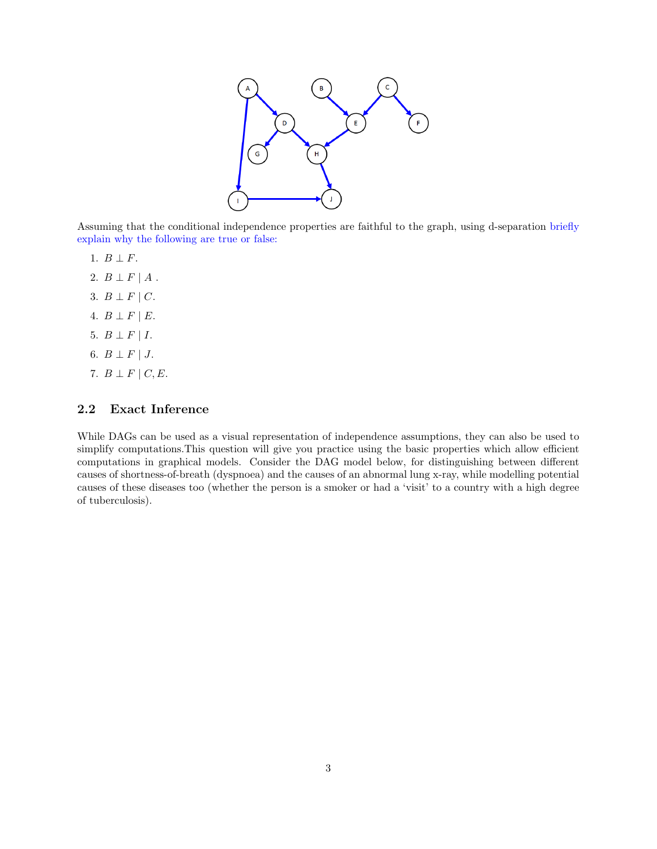

Assuming that the conditional independence properties are faithful to the graph, using d-separation briefly explain why the following are true or false:

- 1.  $B \perp F$ .
- 2.  $B \perp F \mid A$ .
- 3.  $B \perp F \mid C$ .
- 4.  $B \perp F \mid E$ .
- 5.  $B \perp F \mid I$ .
- 6.  $B \perp F \mid J$ .
- 7.  $B \perp F \mid C, E$ .

## 2.2 Exact Inference

While DAGs can be used as a visual representation of independence assumptions, they can also be used to simplify computations.This question will give you practice using the basic properties which allow efficient computations in graphical models. Consider the DAG model below, for distinguishing between different causes of shortness-of-breath (dyspnoea) and the causes of an abnormal lung x-ray, while modelling potential causes of these diseases too (whether the person is a smoker or had a 'visit' to a country with a high degree of tuberculosis).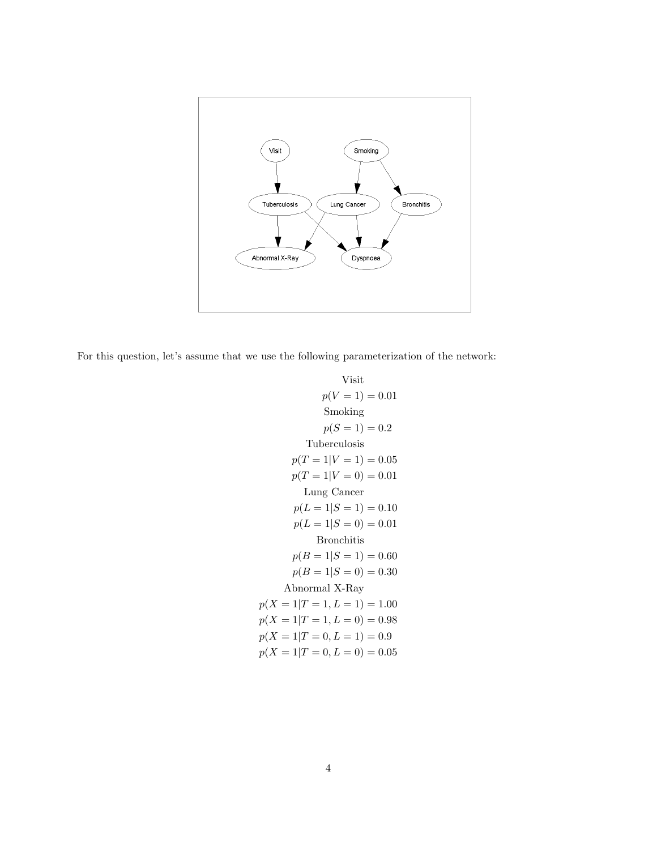

For this question, let's assume that we use the following parameterization of the network:

Visit  
\n
$$
p(V = 1) = 0.01
$$
  
\nSmoking  
\n $p(S = 1) = 0.2$   
\nTuberculosis  
\n $p(T = 1|V = 1) = 0.05$   
\n $p(T = 1|V = 0) = 0.01$   
\nLung Cancer  
\n $p(L = 1|S = 1) = 0.10$   
\n $p(L = 1|S = 0) = 0.01$   
\nBronchitis  
\n $p(B = 1|S = 0) = 0.30$   
\nAbnormal X-Ray  
\n $p(X = 1|T = 1, L = 1) = 1.00$   
\n $p(X = 1|T = 1, L = 0) = 0.98$   
\n $p(X = 1|T = 0, L = 1) = 0.9$   
\n $p(X = 1|T = 0, L = 0) = 0.05$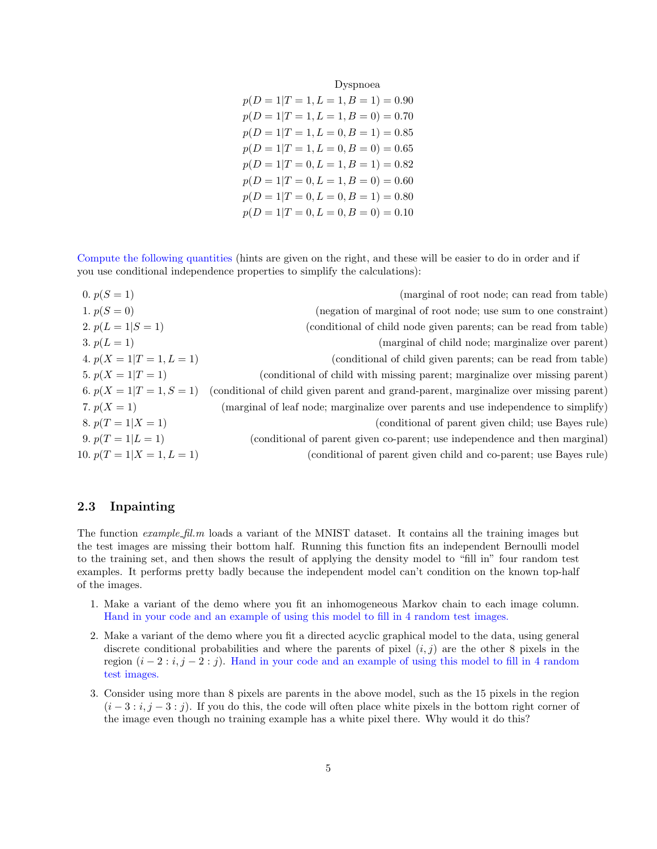Dyspnoea

| $p(D = 1 T = 1, L = 1, B = 1) = 0.90$ |  |
|---------------------------------------|--|
| $p(D = 1 T = 1, L = 1, B = 0) = 0.70$ |  |
| $p(D = 1 T = 1, L = 0, B = 1) = 0.85$ |  |
| $p(D = 1 T = 1, L = 0, B = 0) = 0.65$ |  |
| $p(D = 1 T = 0, L = 1, B = 1) = 0.82$ |  |
| $p(D = 1 T = 0, L = 1, B = 0) = 0.60$ |  |
| $p(D = 1 T = 0, L = 0, B = 1) = 0.80$ |  |
| $p(D = 1 T = 0, L = 0, B = 0) = 0.10$ |  |
|                                       |  |

Compute the following quantities (hints are given on the right, and these will be easier to do in order and if you use conditional independence properties to simplify the calculations):

0.  $p(S = 1)$  (marginal of root node; can read from table) 1.  $p(S = 0)$  (negation of marginal of root node; use sum to one constraint) 2.  $p(L = 1|S = 1)$  (conditional of child node given parents; can be read from table) 3.  $p(L = 1)$  (marginal of child node; marginalize over parent) 4.  $p(X = 1|T = 1, L = 1)$  (conditional of child given parents; can be read from table) 5.  $p(X = 1|T = 1)$  (conditional of child with missing parent; marginalize over missing parent) 6.  $p(X = 1|T = 1, S = 1)$  (conditional of child given parent and grand-parent, marginalize over missing parent) 7.  $p(X = 1)$  (marginal of leaf node; marginalize over parents and use independence to simplify) 8.  $p(T = 1|X = 1)$  (conditional of parent given child; use Bayes rule) 9.  $p(T = 1|L = 1)$  (conditional of parent given co-parent; use independence and then marginal) 10.  $p(T = 1 | X = 1, L = 1)$  (conditional of parent given child and co-parent; use Bayes rule)

## 2.3 Inpainting

The function *example fil.m* loads a variant of the MNIST dataset. It contains all the training images but the test images are missing their bottom half. Running this function fits an independent Bernoulli model to the training set, and then shows the result of applying the density model to "fill in" four random test examples. It performs pretty badly because the independent model can't condition on the known top-half of the images.

- 1. Make a variant of the demo where you fit an inhomogeneous Markov chain to each image column. Hand in your code and an example of using this model to fill in 4 random test images.
- 2. Make a variant of the demo where you fit a directed acyclic graphical model to the data, using general discrete conditional probabilities and where the parents of pixel  $(i, j)$  are the other 8 pixels in the region  $(i-2:i, j-2:j)$ . Hand in your code and an example of using this model to fill in 4 random test images.
- 3. Consider using more than 8 pixels are parents in the above model, such as the 15 pixels in the region  $(i-3:i,j-3:j)$ . If you do this, the code will often place white pixels in the bottom right corner of the image even though no training example has a white pixel there. Why would it do this?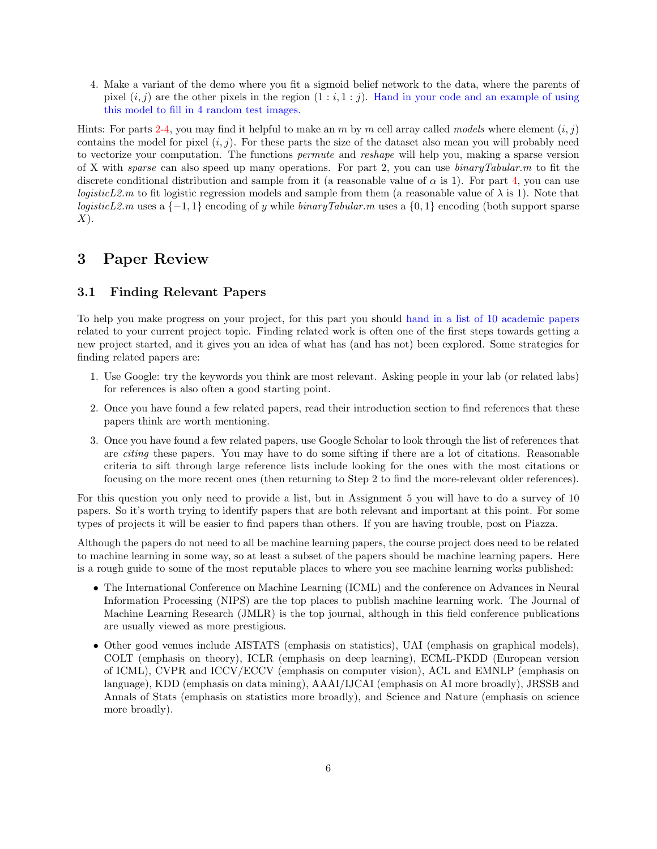4. Make a variant of the demo where you fit a sigmoid belief network to the data, where the parents of pixel  $(i, j)$  are the other pixels in the region  $(1 : i, 1 : j)$ . Hand in your code and an example of using this model to fill in 4 random test images.

Hints: For parts 2-4, you may find it helpful to make an m by m cell array called models where element  $(i, j)$ contains the model for pixel  $(i, j)$ . For these parts the size of the dataset also mean you will probably need to vectorize your computation. The functions permute and reshape will help you, making a sparse version of X with sparse can also speed up many operations. For part 2, you can use  $\frac{binaryTabular}{m}$  to fit the discrete conditional distribution and sample from it (a reasonable value of  $\alpha$  is 1). For part 4, you can use *logisticL2.m* to fit logistic regression models and sample from them (a reasonable value of  $\lambda$  is 1). Note that logisticL2.m uses a  $\{-1, 1\}$  encoding of y while binaryTabular.m uses a  $\{0, 1\}$  encoding (both support sparse  $X$ ).

## 3 Paper Review

### 3.1 Finding Relevant Papers

To help you make progress on your project, for this part you should hand in a list of 10 academic papers related to your current project topic. Finding related work is often one of the first steps towards getting a new project started, and it gives you an idea of what has (and has not) been explored. Some strategies for finding related papers are:

- 1. Use Google: try the keywords you think are most relevant. Asking people in your lab (or related labs) for references is also often a good starting point.
- 2. Once you have found a few related papers, read their introduction section to find references that these papers think are worth mentioning.
- 3. Once you have found a few related papers, use Google Scholar to look through the list of references that are citing these papers. You may have to do some sifting if there are a lot of citations. Reasonable criteria to sift through large reference lists include looking for the ones with the most citations or focusing on the more recent ones (then returning to Step 2 to find the more-relevant older references).

For this question you only need to provide a list, but in Assignment 5 you will have to do a survey of 10 papers. So it's worth trying to identify papers that are both relevant and important at this point. For some types of projects it will be easier to find papers than others. If you are having trouble, post on Piazza.

Although the papers do not need to all be machine learning papers, the course project does need to be related to machine learning in some way, so at least a subset of the papers should be machine learning papers. Here is a rough guide to some of the most reputable places to where you see machine learning works published:

- The International Conference on Machine Learning (ICML) and the conference on Advances in Neural Information Processing (NIPS) are the top places to publish machine learning work. The Journal of Machine Learning Research (JMLR) is the top journal, although in this field conference publications are usually viewed as more prestigious.
- Other good venues include AISTATS (emphasis on statistics), UAI (emphasis on graphical models), COLT (emphasis on theory), ICLR (emphasis on deep learning), ECML-PKDD (European version of ICML), CVPR and ICCV/ECCV (emphasis on computer vision), ACL and EMNLP (emphasis on language), KDD (emphasis on data mining), AAAI/IJCAI (emphasis on AI more broadly), JRSSB and Annals of Stats (emphasis on statistics more broadly), and Science and Nature (emphasis on science more broadly).